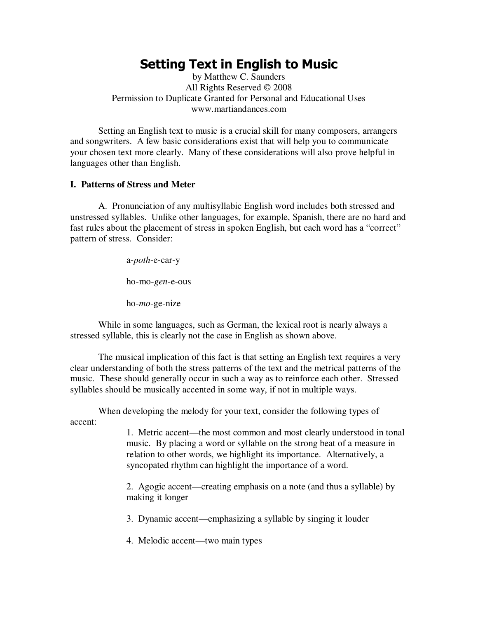# **Setting Text in English to Music**

by Matthew C. Saunders All Rights Reserved © 2008 Permission to Duplicate Granted for Personal and Educational Uses www.martiandances.com

Setting an English text to music is a crucial skill for many composers, arrangers and songwriters. A few basic considerations exist that will help you to communicate your chosen text more clearly. Many of these considerations will also prove helpful in languages other than English.

#### **I. Patterns of Stress and Meter**

A. Pronunciation of any multisyllabic English word includes both stressed and unstressed syllables. Unlike other languages, for example, Spanish, there are no hard and fast rules about the placement of stress in spoken English, but each word has a "correct" pattern of stress. Consider:

a-*poth*-e-car-y

ho-mo-*gen*-e-ous

ho-*mo*-ge-nize

While in some languages, such as German, the lexical root is nearly always a stressed syllable, this is clearly not the case in English as shown above.

The musical implication of this fact is that setting an English text requires a very clear understanding of both the stress patterns of the text and the metrical patterns of the music. These should generally occur in such a way as to reinforce each other. Stressed syllables should be musically accented in some way, if not in multiple ways.

When developing the melody for your text, consider the following types of accent:

> 1. Metric accent—the most common and most clearly understood in tonal music. By placing a word or syllable on the strong beat of a measure in relation to other words, we highlight its importance. Alternatively, a syncopated rhythm can highlight the importance of a word.

2. Agogic accent—creating emphasis on a note (and thus a syllable) by making it longer

3. Dynamic accent—emphasizing a syllable by singing it louder

4. Melodic accent—two main types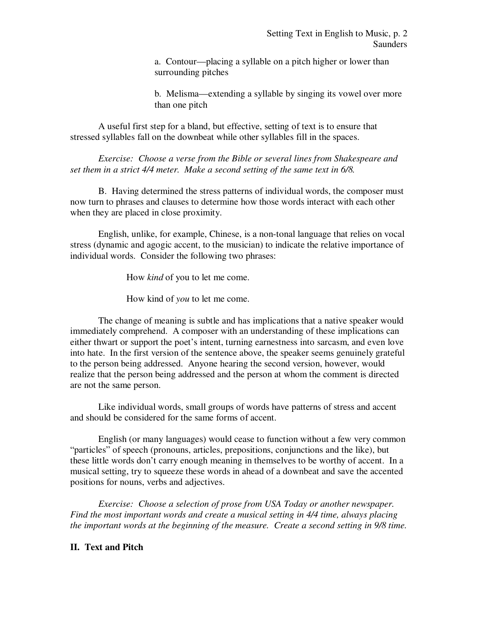a. Contour—placing a syllable on a pitch higher or lower than surrounding pitches

b. Melisma—extending a syllable by singing its vowel over more than one pitch

A useful first step for a bland, but effective, setting of text is to ensure that stressed syllables fall on the downbeat while other syllables fill in the spaces.

*Exercise: Choose a verse from the Bible or several lines from Shakespeare and set them in a strict 4/4 meter. Make a second setting of the same text in 6/8.* 

B. Having determined the stress patterns of individual words, the composer must now turn to phrases and clauses to determine how those words interact with each other when they are placed in close proximity.

English, unlike, for example, Chinese, is a non-tonal language that relies on vocal stress (dynamic and agogic accent, to the musician) to indicate the relative importance of individual words. Consider the following two phrases:

How *kind* of you to let me come.

How kind of *you* to let me come.

The change of meaning is subtle and has implications that a native speaker would immediately comprehend. A composer with an understanding of these implications can either thwart or support the poet's intent, turning earnestness into sarcasm, and even love into hate. In the first version of the sentence above, the speaker seems genuinely grateful to the person being addressed. Anyone hearing the second version, however, would realize that the person being addressed and the person at whom the comment is directed are not the same person.

Like individual words, small groups of words have patterns of stress and accent and should be considered for the same forms of accent.

English (or many languages) would cease to function without a few very common "particles" of speech (pronouns, articles, prepositions, conjunctions and the like), but these little words don't carry enough meaning in themselves to be worthy of accent. In a musical setting, try to squeeze these words in ahead of a downbeat and save the accented positions for nouns, verbs and adjectives.

*Exercise: Choose a selection of prose from USA Today or another newspaper. Find the most important words and create a musical setting in 4/4 time, always placing the important words at the beginning of the measure. Create a second setting in 9/8 time.* 

## **II. Text and Pitch**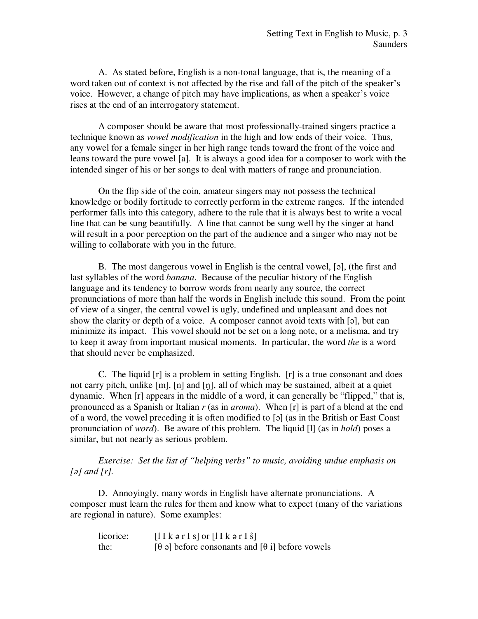A. As stated before, English is a non-tonal language, that is, the meaning of a word taken out of context is not affected by the rise and fall of the pitch of the speaker's voice. However, a change of pitch may have implications, as when a speaker's voice rises at the end of an interrogatory statement.

A composer should be aware that most professionally-trained singers practice a technique known as *vowel modification* in the high and low ends of their voice. Thus, any vowel for a female singer in her high range tends toward the front of the voice and leans toward the pure vowel [a]. It is always a good idea for a composer to work with the intended singer of his or her songs to deal with matters of range and pronunciation.

On the flip side of the coin, amateur singers may not possess the technical knowledge or bodily fortitude to correctly perform in the extreme ranges. If the intended performer falls into this category, adhere to the rule that it is always best to write a vocal line that can be sung beautifully. A line that cannot be sung well by the singer at hand will result in a poor perception on the part of the audience and a singer who may not be willing to collaborate with you in the future.

B. The most dangerous vowel in English is the central vowel, [ə], (the first and last syllables of the word *banana*. Because of the peculiar history of the English language and its tendency to borrow words from nearly any source, the correct pronunciations of more than half the words in English include this sound. From the point of view of a singer, the central vowel is ugly, undefined and unpleasant and does not show the clarity or depth of a voice. A composer cannot avoid texts with [ə], but can minimize its impact. This vowel should not be set on a long note, or a melisma, and try to keep it away from important musical moments. In particular, the word *the* is a word that should never be emphasized.

C. The liquid [r] is a problem in setting English. [r] is a true consonant and does not carry pitch, unlike [m], [n] and [ŋ], all of which may be sustained, albeit at a quiet dynamic. When [r] appears in the middle of a word, it can generally be "flipped," that is, pronounced as a Spanish or Italian *r* (as in *aroma*). When [r] is part of a blend at the end of a word, the vowel preceding it is often modified to [ə] (as in the British or East Coast pronunciation of *word*). Be aware of this problem. The liquid [l] (as in *hold*) poses a similar, but not nearly as serious problem.

*Exercise: Set the list of "helping verbs" to music, avoiding undue emphasis on [ə] and [r].*

D. Annoyingly, many words in English have alternate pronunciations. A composer must learn the rules for them and know what to expect (many of the variations are regional in nature). Some examples:

| licorice: | $[1]$ k ə r I s or $[1]$ k ə r I s $]$                          |
|-----------|-----------------------------------------------------------------|
| the:      | [ $\theta$ a] before consonants and [ $\theta$ i] before vowels |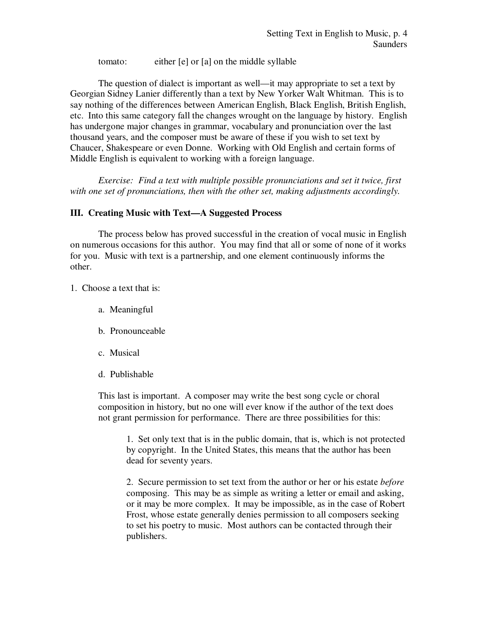tomato: either [e] or [a] on the middle syllable

The question of dialect is important as well—it may appropriate to set a text by Georgian Sidney Lanier differently than a text by New Yorker Walt Whitman. This is to say nothing of the differences between American English, Black English, British English, etc. Into this same category fall the changes wrought on the language by history. English has undergone major changes in grammar, vocabulary and pronunciation over the last thousand years, and the composer must be aware of these if you wish to set text by Chaucer, Shakespeare or even Donne. Working with Old English and certain forms of Middle English is equivalent to working with a foreign language.

*Exercise: Find a text with multiple possible pronunciations and set it twice, first with one set of pronunciations, then with the other set, making adjustments accordingly.*

## **III. Creating Music with Text—A Suggested Process**

The process below has proved successful in the creation of vocal music in English on numerous occasions for this author. You may find that all or some of none of it works for you. Music with text is a partnership, and one element continuously informs the other.

1. Choose a text that is:

- a. Meaningful
- b. Pronounceable
- c. Musical
- d. Publishable

This last is important. A composer may write the best song cycle or choral composition in history, but no one will ever know if the author of the text does not grant permission for performance. There are three possibilities for this:

1. Set only text that is in the public domain, that is, which is not protected by copyright. In the United States, this means that the author has been dead for seventy years.

2. Secure permission to set text from the author or her or his estate *before* composing. This may be as simple as writing a letter or email and asking, or it may be more complex. It may be impossible, as in the case of Robert Frost, whose estate generally denies permission to all composers seeking to set his poetry to music. Most authors can be contacted through their publishers.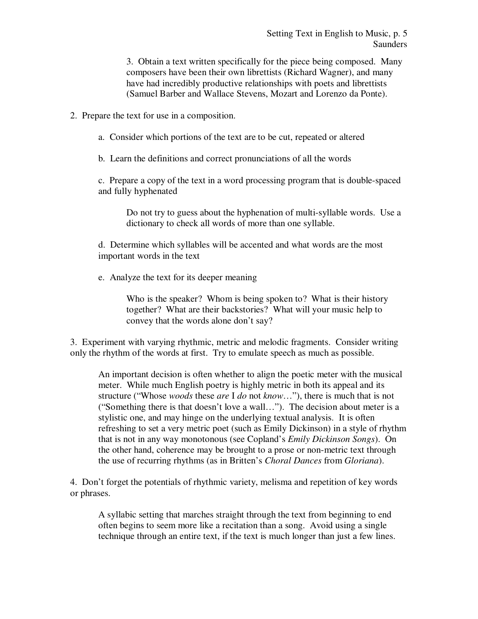3. Obtain a text written specifically for the piece being composed. Many composers have been their own librettists (Richard Wagner), and many have had incredibly productive relationships with poets and librettists (Samuel Barber and Wallace Stevens, Mozart and Lorenzo da Ponte).

2. Prepare the text for use in a composition.

a. Consider which portions of the text are to be cut, repeated or altered

b. Learn the definitions and correct pronunciations of all the words

c. Prepare a copy of the text in a word processing program that is double-spaced and fully hyphenated

Do not try to guess about the hyphenation of multi-syllable words. Use a dictionary to check all words of more than one syllable.

d. Determine which syllables will be accented and what words are the most important words in the text

e. Analyze the text for its deeper meaning

Who is the speaker? Whom is being spoken to? What is their history together? What are their backstories? What will your music help to convey that the words alone don't say?

3. Experiment with varying rhythmic, metric and melodic fragments. Consider writing only the rhythm of the words at first. Try to emulate speech as much as possible.

An important decision is often whether to align the poetic meter with the musical meter. While much English poetry is highly metric in both its appeal and its structure ("Whose *woods* these *are* I *do* not *know*…"), there is much that is not ("Something there is that doesn't love a wall…"). The decision about meter is a stylistic one, and may hinge on the underlying textual analysis. It is often refreshing to set a very metric poet (such as Emily Dickinson) in a style of rhythm that is not in any way monotonous (see Copland's *Emily Dickinson Songs*). On the other hand, coherence may be brought to a prose or non-metric text through the use of recurring rhythms (as in Britten's *Choral Dances* from *Gloriana*).

4. Don't forget the potentials of rhythmic variety, melisma and repetition of key words or phrases.

A syllabic setting that marches straight through the text from beginning to end often begins to seem more like a recitation than a song. Avoid using a single technique through an entire text, if the text is much longer than just a few lines.